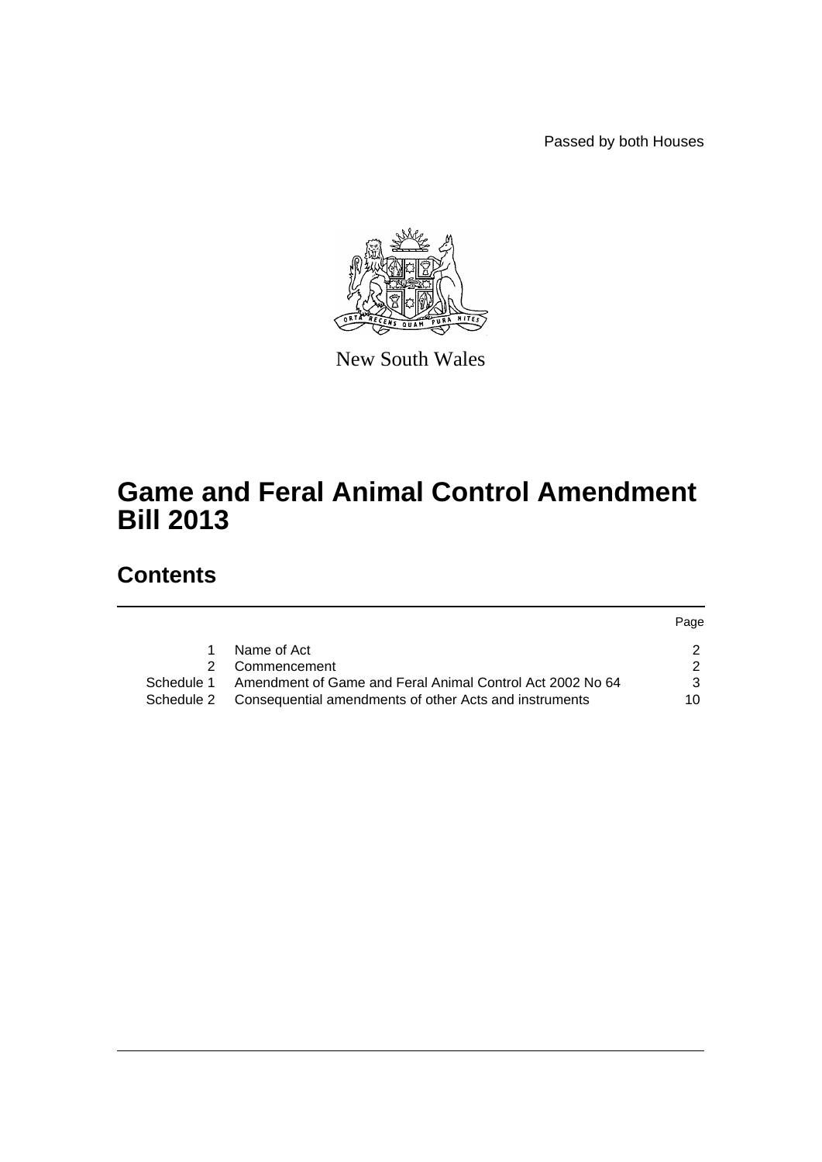Passed by both Houses



New South Wales

# **Game and Feral Animal Control Amendment Bill 2013**

# **Contents**

|               |                                                                   | Page |
|---------------|-------------------------------------------------------------------|------|
|               | Name of Act                                                       |      |
| $\mathcal{P}$ | Commencement                                                      |      |
| Schedule 1    | Amendment of Game and Feral Animal Control Act 2002 No 64         | ર    |
|               | Schedule 2 Consequential amendments of other Acts and instruments | 10   |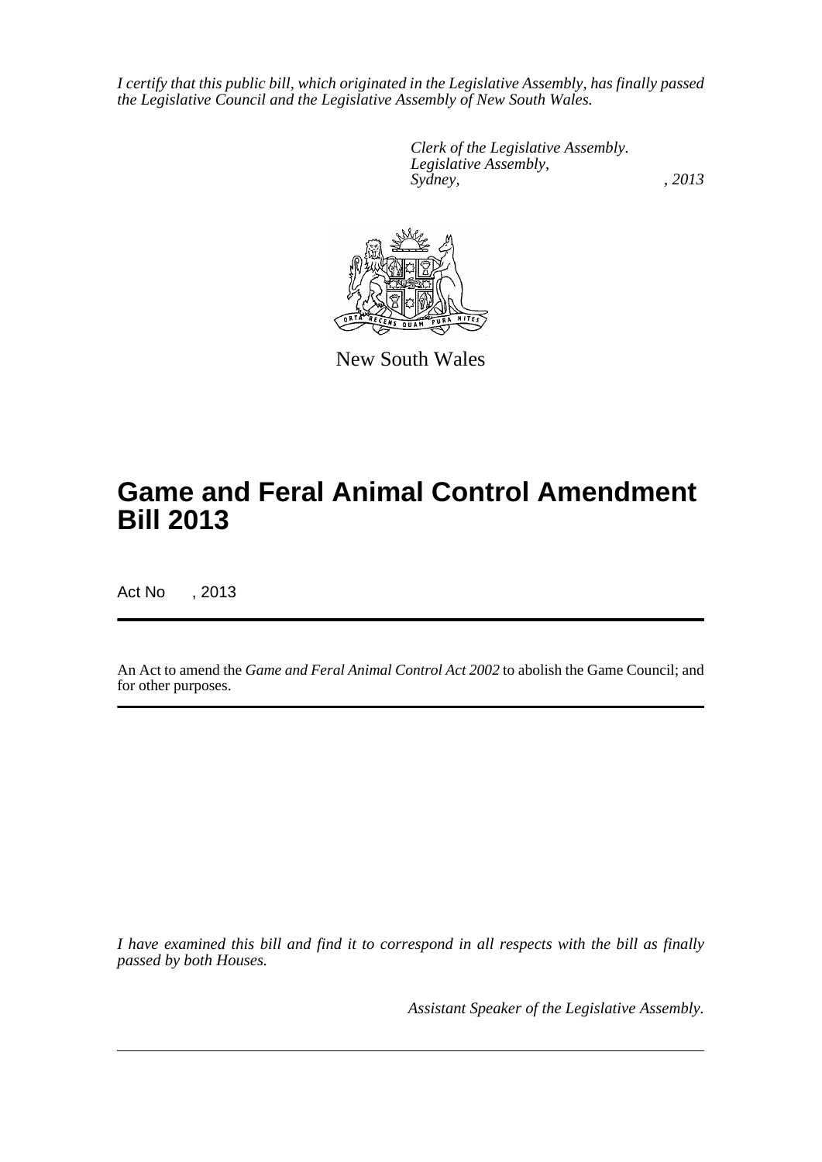*I certify that this public bill, which originated in the Legislative Assembly, has finally passed the Legislative Council and the Legislative Assembly of New South Wales.*

> *Clerk of the Legislative Assembly. Legislative Assembly, Sydney, , 2013*



New South Wales

# **Game and Feral Animal Control Amendment Bill 2013**

Act No , 2013

An Act to amend the *Game and Feral Animal Control Act 2002* to abolish the Game Council; and for other purposes.

*I have examined this bill and find it to correspond in all respects with the bill as finally passed by both Houses.*

*Assistant Speaker of the Legislative Assembly.*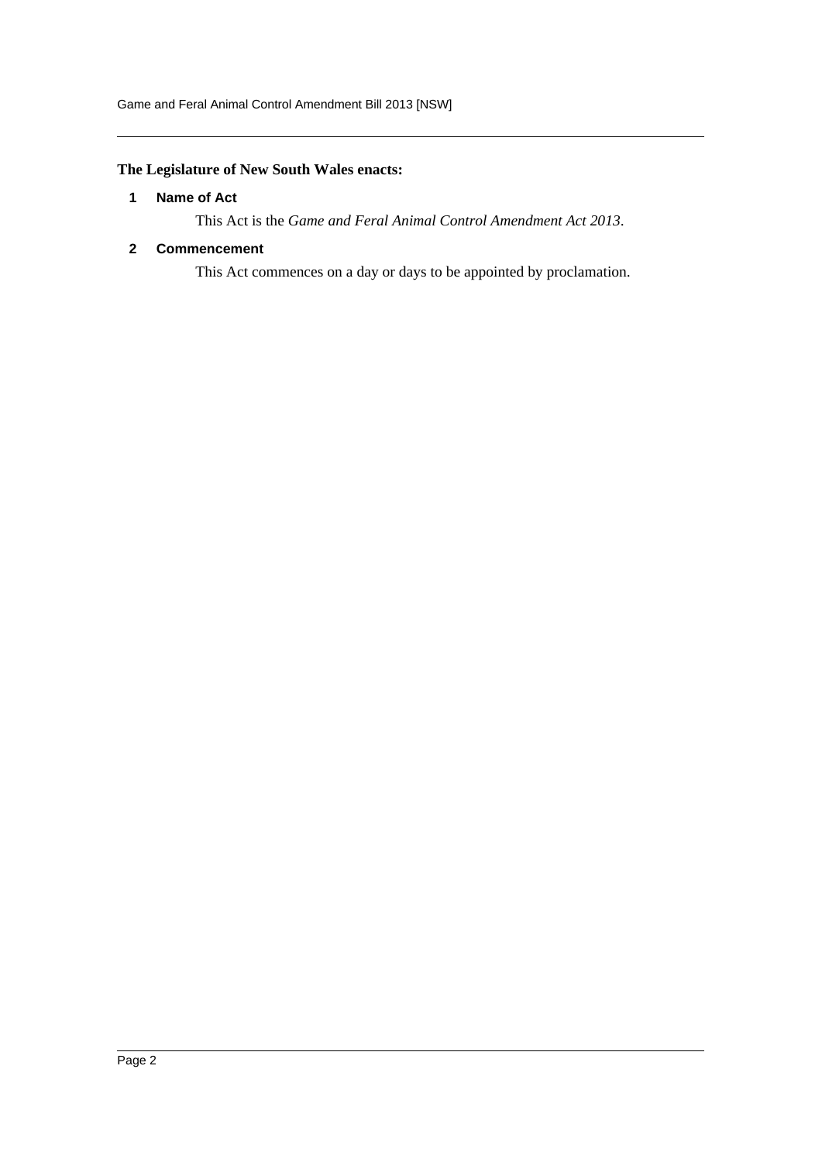## <span id="page-2-0"></span>**The Legislature of New South Wales enacts:**

## **1 Name of Act**

This Act is the *Game and Feral Animal Control Amendment Act 2013*.

## <span id="page-2-1"></span>**2 Commencement**

This Act commences on a day or days to be appointed by proclamation.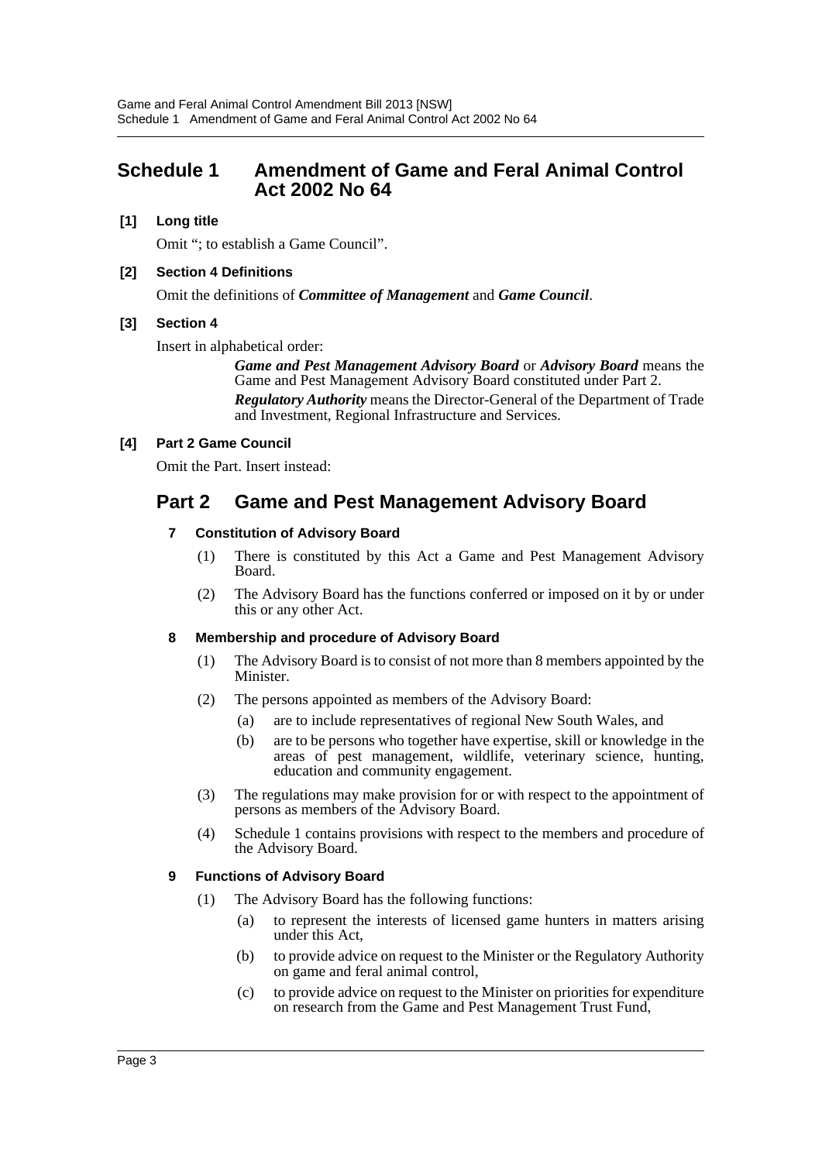# <span id="page-3-0"></span>**Schedule 1 Amendment of Game and Feral Animal Control Act 2002 No 64**

## **[1] Long title**

Omit "; to establish a Game Council".

## **[2] Section 4 Definitions**

Omit the definitions of *Committee of Management* and *Game Council*.

## **[3] Section 4**

Insert in alphabetical order:

*Game and Pest Management Advisory Board* or *Advisory Board* means the Game and Pest Management Advisory Board constituted under Part 2. *Regulatory Authority* means the Director-General of the Department of Trade and Investment, Regional Infrastructure and Services.

## **[4] Part 2 Game Council**

Omit the Part. Insert instead:

# **Part 2 Game and Pest Management Advisory Board**

## **7 Constitution of Advisory Board**

- (1) There is constituted by this Act a Game and Pest Management Advisory Board.
- (2) The Advisory Board has the functions conferred or imposed on it by or under this or any other Act.

## **8 Membership and procedure of Advisory Board**

- (1) The Advisory Board is to consist of not more than 8 members appointed by the Minister.
- (2) The persons appointed as members of the Advisory Board:
	- (a) are to include representatives of regional New South Wales, and
	- (b) are to be persons who together have expertise, skill or knowledge in the areas of pest management, wildlife, veterinary science, hunting, education and community engagement.
- (3) The regulations may make provision for or with respect to the appointment of persons as members of the Advisory Board.
- (4) Schedule 1 contains provisions with respect to the members and procedure of the Advisory Board.

## **9 Functions of Advisory Board**

- (1) The Advisory Board has the following functions:
	- (a) to represent the interests of licensed game hunters in matters arising under this Act,
	- (b) to provide advice on request to the Minister or the Regulatory Authority on game and feral animal control,
	- (c) to provide advice on request to the Minister on priorities for expenditure on research from the Game and Pest Management Trust Fund,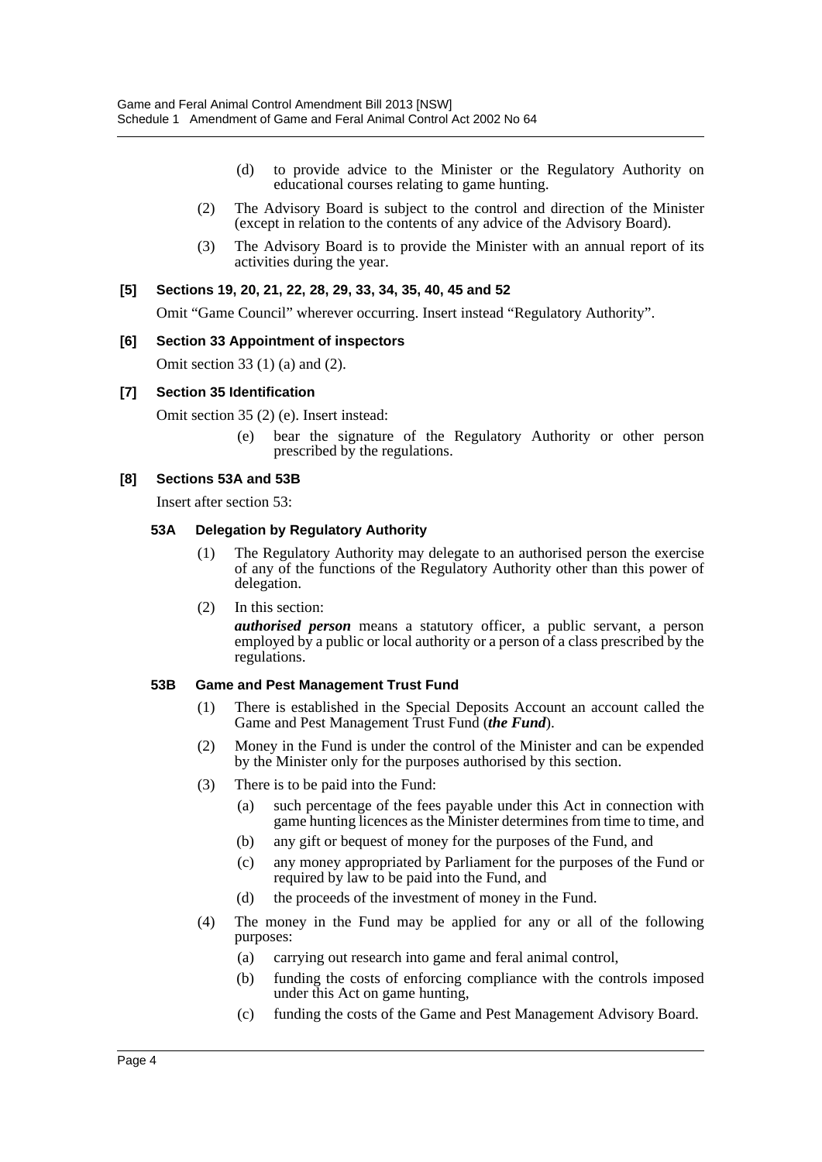- (d) to provide advice to the Minister or the Regulatory Authority on educational courses relating to game hunting.
- (2) The Advisory Board is subject to the control and direction of the Minister (except in relation to the contents of any advice of the Advisory Board).
- (3) The Advisory Board is to provide the Minister with an annual report of its activities during the year.

#### **[5] Sections 19, 20, 21, 22, 28, 29, 33, 34, 35, 40, 45 and 52**

Omit "Game Council" wherever occurring. Insert instead "Regulatory Authority".

#### **[6] Section 33 Appointment of inspectors**

Omit section 33 (1) (a) and (2).

#### **[7] Section 35 Identification**

Omit section 35 (2) (e). Insert instead:

(e) bear the signature of the Regulatory Authority or other person prescribed by the regulations.

#### **[8] Sections 53A and 53B**

Insert after section 53:

#### **53A Delegation by Regulatory Authority**

- (1) The Regulatory Authority may delegate to an authorised person the exercise of any of the functions of the Regulatory Authority other than this power of delegation.
- (2) In this section:

*authorised person* means a statutory officer, a public servant, a person employed by a public or local authority or a person of a class prescribed by the regulations.

#### **53B Game and Pest Management Trust Fund**

- (1) There is established in the Special Deposits Account an account called the Game and Pest Management Trust Fund (*the Fund*).
- (2) Money in the Fund is under the control of the Minister and can be expended by the Minister only for the purposes authorised by this section.
- (3) There is to be paid into the Fund:
	- (a) such percentage of the fees payable under this Act in connection with game hunting licences as the Minister determines from time to time, and
	- (b) any gift or bequest of money for the purposes of the Fund, and
	- (c) any money appropriated by Parliament for the purposes of the Fund or required by law to be paid into the Fund, and
	- (d) the proceeds of the investment of money in the Fund.
- (4) The money in the Fund may be applied for any or all of the following purposes:
	- (a) carrying out research into game and feral animal control,
	- (b) funding the costs of enforcing compliance with the controls imposed under this Act on game hunting,
	- (c) funding the costs of the Game and Pest Management Advisory Board.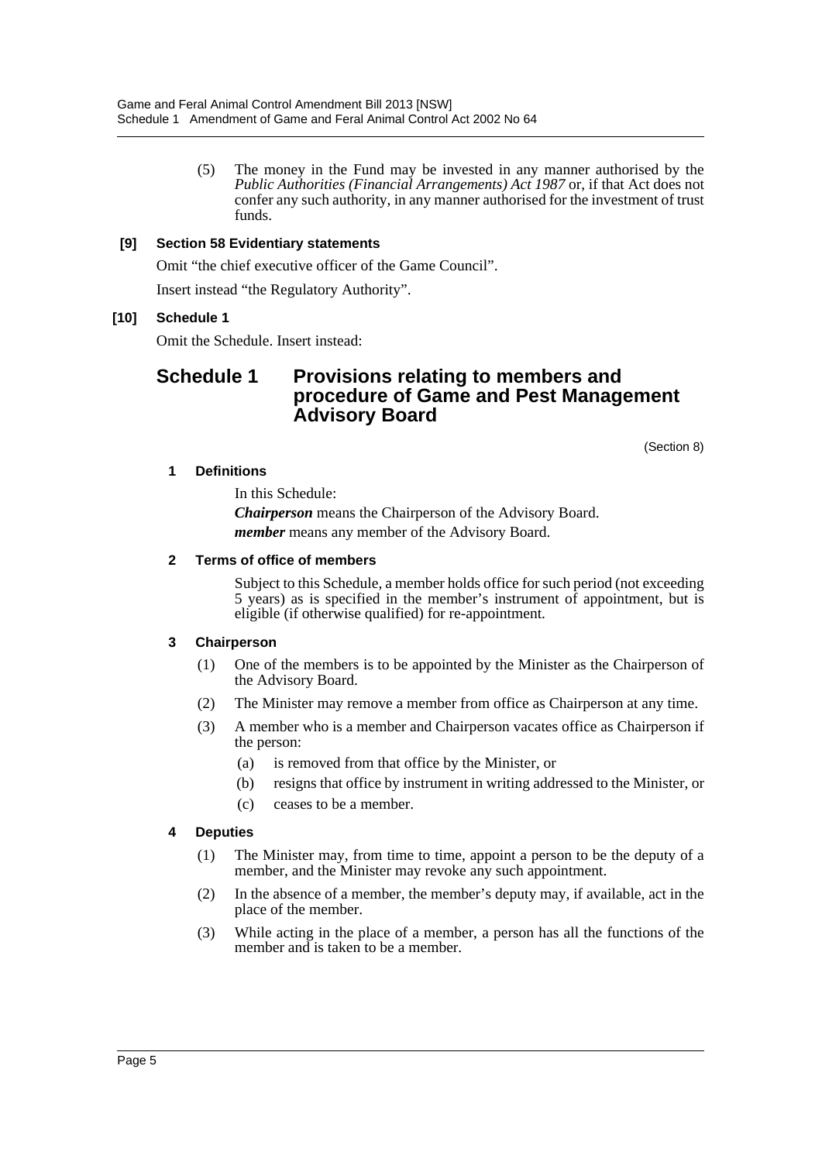(5) The money in the Fund may be invested in any manner authorised by the *Public Authorities (Financial Arrangements) Act 1987* or, if that Act does not confer any such authority, in any manner authorised for the investment of trust funds.

## **[9] Section 58 Evidentiary statements**

Omit "the chief executive officer of the Game Council".

Insert instead "the Regulatory Authority".

### **[10] Schedule 1**

Omit the Schedule. Insert instead:

# **Schedule 1 Provisions relating to members and procedure of Game and Pest Management Advisory Board**

(Section 8)

### **1 Definitions**

In this Schedule:

*Chairperson* means the Chairperson of the Advisory Board. *member* means any member of the Advisory Board.

#### **2 Terms of office of members**

Subject to this Schedule, a member holds office for such period (not exceeding 5 years) as is specified in the member's instrument of appointment, but is eligible (if otherwise qualified) for re-appointment.

### **3 Chairperson**

- (1) One of the members is to be appointed by the Minister as the Chairperson of the Advisory Board.
- (2) The Minister may remove a member from office as Chairperson at any time.
- (3) A member who is a member and Chairperson vacates office as Chairperson if the person:
	- (a) is removed from that office by the Minister, or
	- (b) resigns that office by instrument in writing addressed to the Minister, or
	- (c) ceases to be a member.

### **4 Deputies**

- (1) The Minister may, from time to time, appoint a person to be the deputy of a member, and the Minister may revoke any such appointment.
- (2) In the absence of a member, the member's deputy may, if available, act in the place of the member.
- (3) While acting in the place of a member, a person has all the functions of the member and is taken to be a member.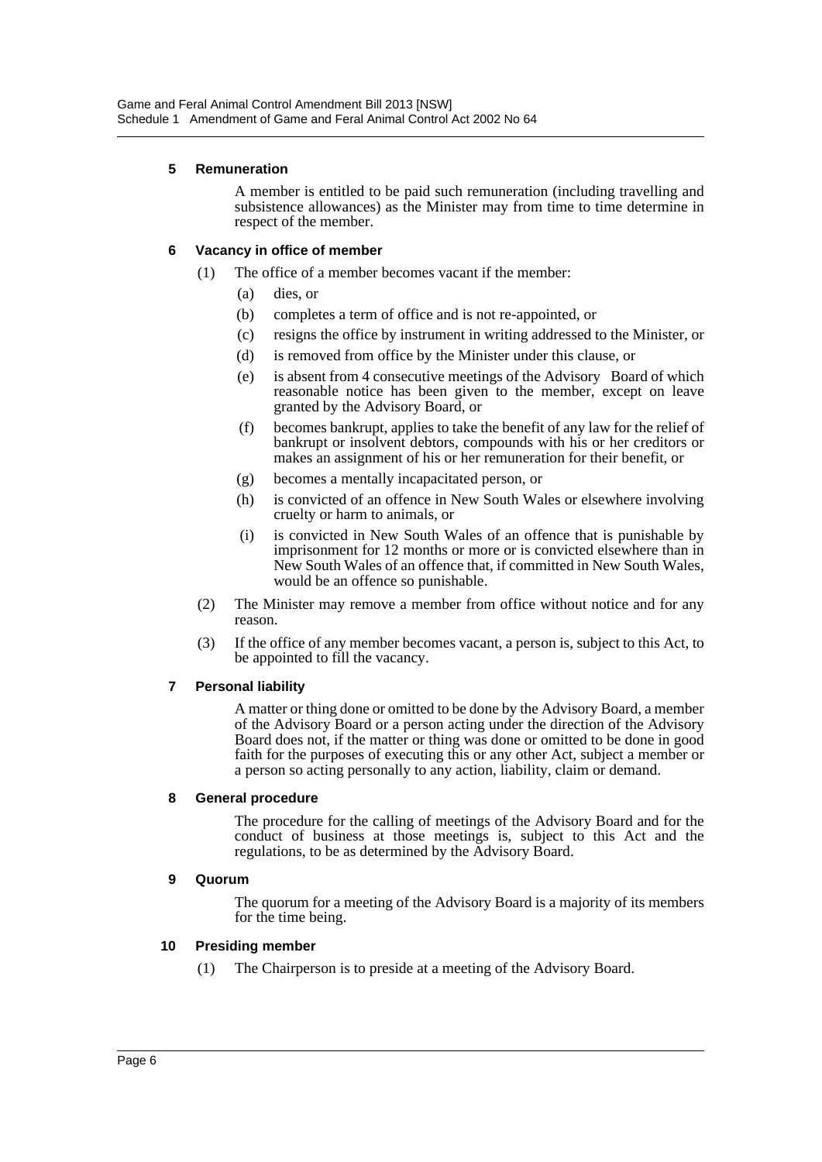## **5 Remuneration**

A member is entitled to be paid such remuneration (including travelling and subsistence allowances) as the Minister may from time to time determine in respect of the member.

## **6 Vacancy in office of member**

- (1) The office of a member becomes vacant if the member:
	- (a) dies, or
	- (b) completes a term of office and is not re-appointed, or
	- (c) resigns the office by instrument in writing addressed to the Minister, or
	- (d) is removed from office by the Minister under this clause, or
	- (e) is absent from 4 consecutive meetings of the Advisory Board of which reasonable notice has been given to the member, except on leave granted by the Advisory Board, or
	- (f) becomes bankrupt, applies to take the benefit of any law for the relief of bankrupt or insolvent debtors, compounds with his or her creditors or makes an assignment of his or her remuneration for their benefit, or
	- (g) becomes a mentally incapacitated person, or
	- (h) is convicted of an offence in New South Wales or elsewhere involving cruelty or harm to animals, or
	- (i) is convicted in New South Wales of an offence that is punishable by imprisonment for 12 months or more or is convicted elsewhere than in New South Wales of an offence that, if committed in New South Wales, would be an offence so punishable.
- (2) The Minister may remove a member from office without notice and for any reason.
- (3) If the office of any member becomes vacant, a person is, subject to this Act, to be appointed to fill the vacancy.

### **7 Personal liability**

A matter or thing done or omitted to be done by the Advisory Board, a member of the Advisory Board or a person acting under the direction of the Advisory Board does not, if the matter or thing was done or omitted to be done in good faith for the purposes of executing this or any other Act, subject a member or a person so acting personally to any action, liability, claim or demand.

### **8 General procedure**

The procedure for the calling of meetings of the Advisory Board and for the conduct of business at those meetings is, subject to this Act and the regulations, to be as determined by the Advisory Board.

### **9 Quorum**

The quorum for a meeting of the Advisory Board is a majority of its members for the time being.

### **10 Presiding member**

(1) The Chairperson is to preside at a meeting of the Advisory Board.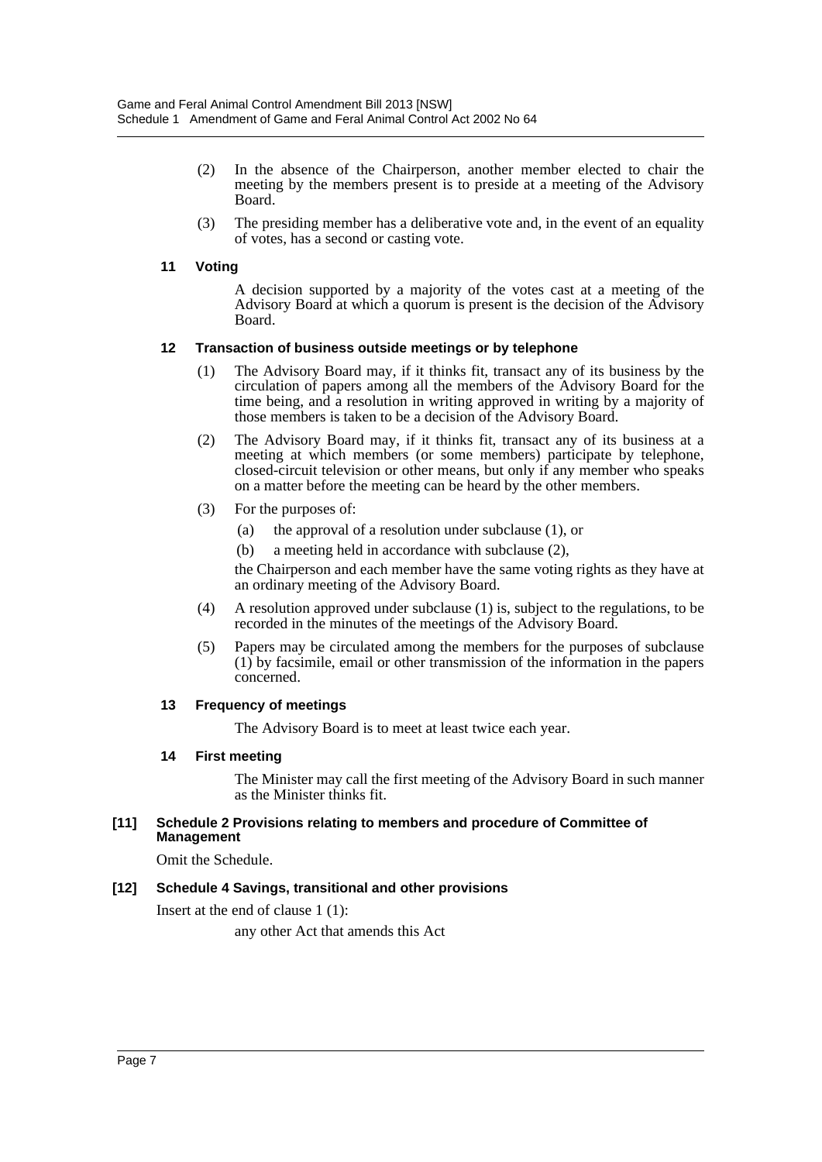- (2) In the absence of the Chairperson, another member elected to chair the meeting by the members present is to preside at a meeting of the Advisory Board.
- (3) The presiding member has a deliberative vote and, in the event of an equality of votes, has a second or casting vote.

## **11 Voting**

A decision supported by a majority of the votes cast at a meeting of the Advisory Board at which a quorum is present is the decision of the Advisory Board.

### **12 Transaction of business outside meetings or by telephone**

- (1) The Advisory Board may, if it thinks fit, transact any of its business by the circulation of papers among all the members of the Advisory Board for the time being, and a resolution in writing approved in writing by a majority of those members is taken to be a decision of the Advisory Board.
- (2) The Advisory Board may, if it thinks fit, transact any of its business at a meeting at which members (or some members) participate by telephone, closed-circuit television or other means, but only if any member who speaks on a matter before the meeting can be heard by the other members.
- (3) For the purposes of:
	- (a) the approval of a resolution under subclause (1), or
	- (b) a meeting held in accordance with subclause (2),

the Chairperson and each member have the same voting rights as they have at an ordinary meeting of the Advisory Board.

- (4) A resolution approved under subclause (1) is, subject to the regulations, to be recorded in the minutes of the meetings of the Advisory Board.
- (5) Papers may be circulated among the members for the purposes of subclause (1) by facsimile, email or other transmission of the information in the papers concerned.

### **13 Frequency of meetings**

The Advisory Board is to meet at least twice each year.

### **14 First meeting**

The Minister may call the first meeting of the Advisory Board in such manner as the Minister thinks fit.

#### **[11] Schedule 2 Provisions relating to members and procedure of Committee of Management**

Omit the Schedule.

## **[12] Schedule 4 Savings, transitional and other provisions**

Insert at the end of clause 1 (1):

any other Act that amends this Act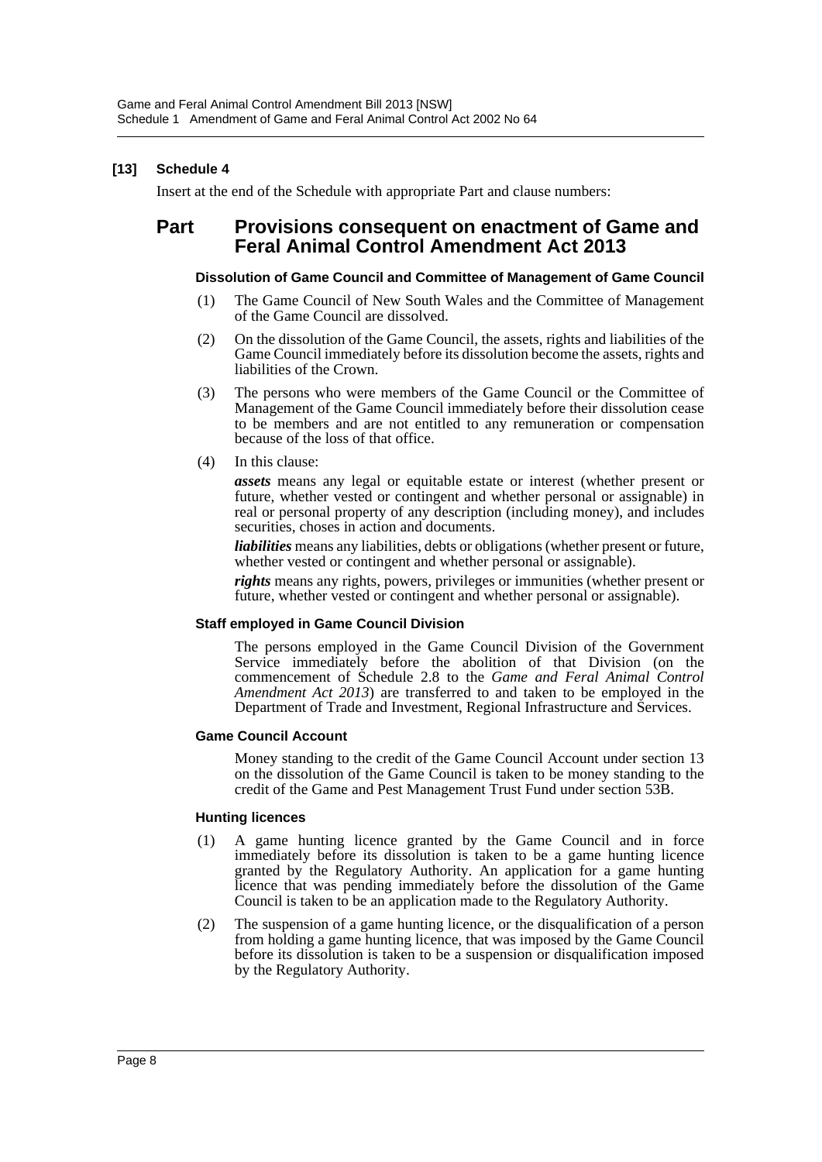## **[13] Schedule 4**

Insert at the end of the Schedule with appropriate Part and clause numbers:

# **Part Provisions consequent on enactment of Game and Feral Animal Control Amendment Act 2013**

#### **Dissolution of Game Council and Committee of Management of Game Council**

- (1) The Game Council of New South Wales and the Committee of Management of the Game Council are dissolved.
- (2) On the dissolution of the Game Council, the assets, rights and liabilities of the Game Council immediately before its dissolution become the assets, rights and liabilities of the Crown.
- (3) The persons who were members of the Game Council or the Committee of Management of the Game Council immediately before their dissolution cease to be members and are not entitled to any remuneration or compensation because of the loss of that office.
- (4) In this clause:

*assets* means any legal or equitable estate or interest (whether present or future, whether vested or contingent and whether personal or assignable) in real or personal property of any description (including money), and includes securities, choses in action and documents.

*liabilities* means any liabilities, debts or obligations (whether present or future, whether vested or contingent and whether personal or assignable).

*rights* means any rights, powers, privileges or immunities (whether present or future, whether vested or contingent and whether personal or assignable).

### **Staff employed in Game Council Division**

The persons employed in the Game Council Division of the Government Service immediately before the abolition of that Division (on the commencement of Schedule 2.8 to the *Game and Feral Animal Control Amendment Act 2013*) are transferred to and taken to be employed in the Department of Trade and Investment, Regional Infrastructure and Services.

#### **Game Council Account**

Money standing to the credit of the Game Council Account under section 13 on the dissolution of the Game Council is taken to be money standing to the credit of the Game and Pest Management Trust Fund under section 53B.

#### **Hunting licences**

- (1) A game hunting licence granted by the Game Council and in force immediately before its dissolution is taken to be a game hunting licence granted by the Regulatory Authority. An application for a game hunting licence that was pending immediately before the dissolution of the Game Council is taken to be an application made to the Regulatory Authority.
- (2) The suspension of a game hunting licence, or the disqualification of a person from holding a game hunting licence, that was imposed by the Game Council before its dissolution is taken to be a suspension or disqualification imposed by the Regulatory Authority.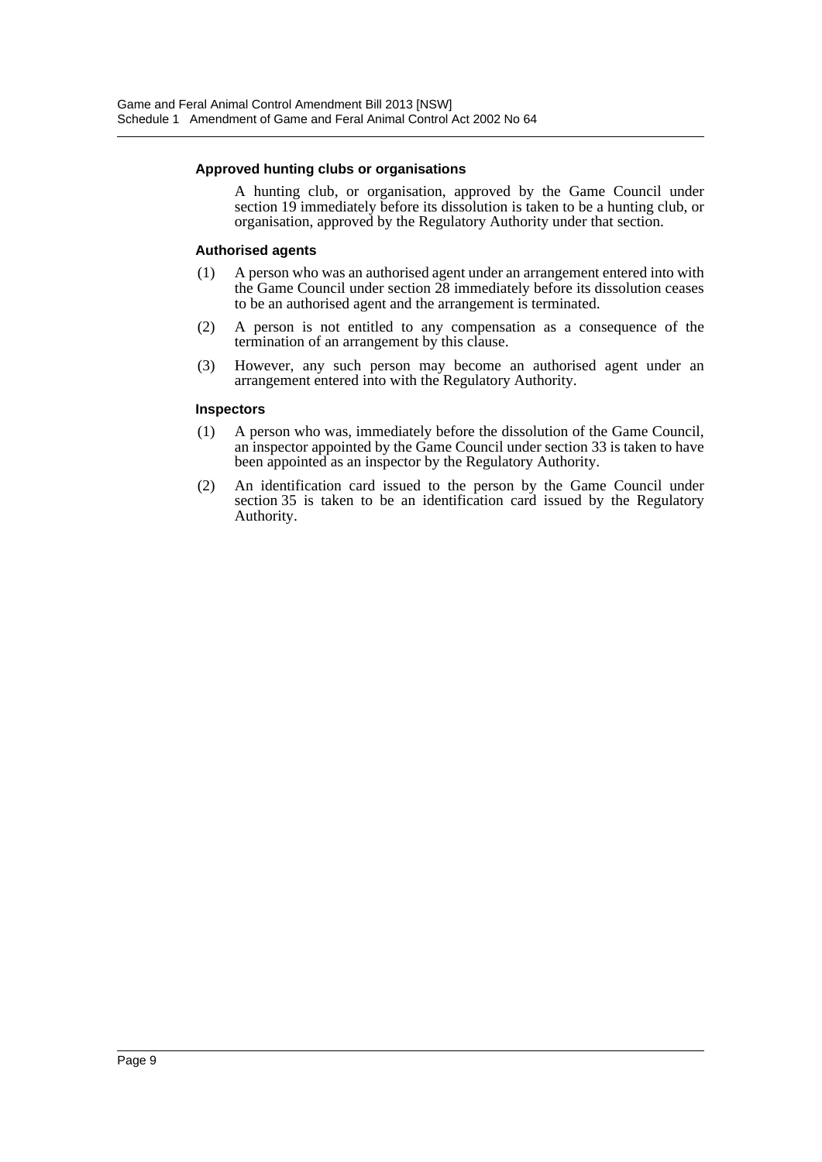#### **Approved hunting clubs or organisations**

A hunting club, or organisation, approved by the Game Council under section 19 immediately before its dissolution is taken to be a hunting club, or organisation, approved by the Regulatory Authority under that section.

#### **Authorised agents**

- (1) A person who was an authorised agent under an arrangement entered into with the Game Council under section 28 immediately before its dissolution ceases to be an authorised agent and the arrangement is terminated.
- (2) A person is not entitled to any compensation as a consequence of the termination of an arrangement by this clause.
- (3) However, any such person may become an authorised agent under an arrangement entered into with the Regulatory Authority.

#### **Inspectors**

- (1) A person who was, immediately before the dissolution of the Game Council, an inspector appointed by the Game Council under section 33 is taken to have been appointed as an inspector by the Regulatory Authority.
- (2) An identification card issued to the person by the Game Council under section 35 is taken to be an identification card issued by the Regulatory Authority.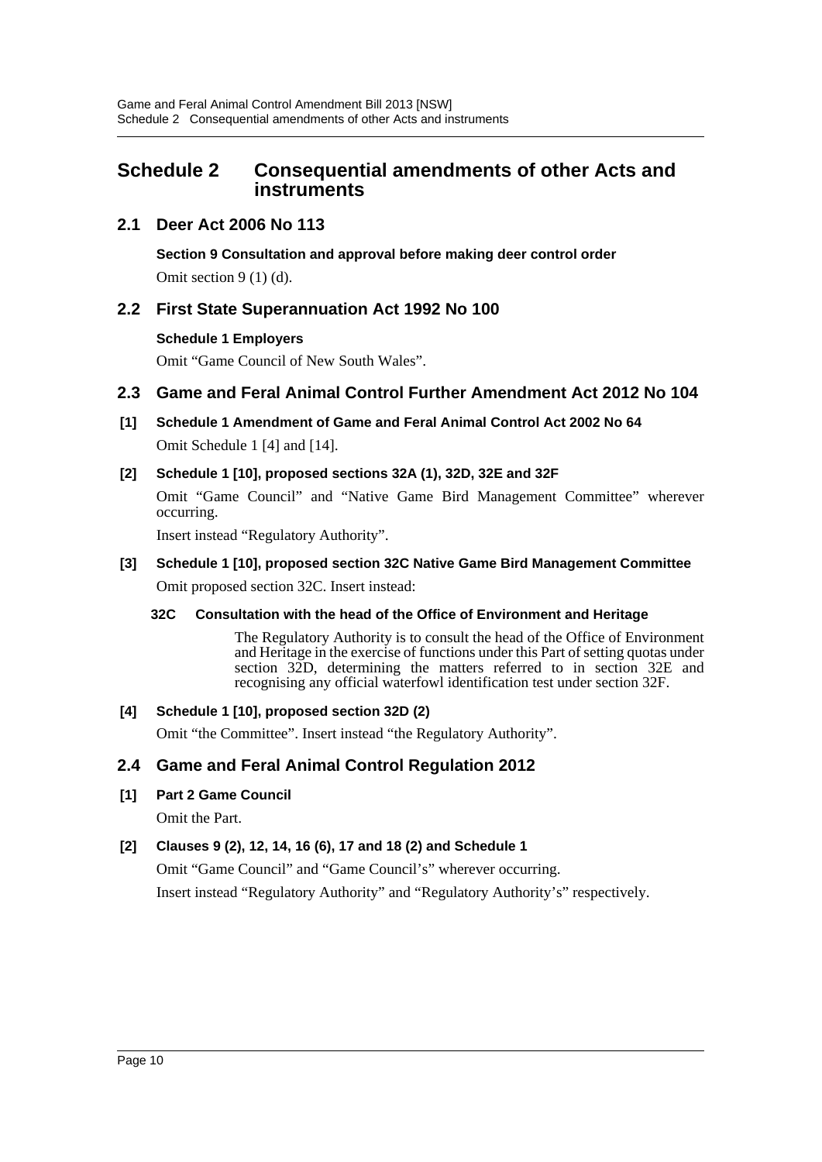# <span id="page-10-0"></span>**Schedule 2 Consequential amendments of other Acts and instruments**

## **2.1 Deer Act 2006 No 113**

**Section 9 Consultation and approval before making deer control order**

Omit section  $9(1)(d)$ .

## **2.2 First State Superannuation Act 1992 No 100**

## **Schedule 1 Employers**

Omit "Game Council of New South Wales".

## **2.3 Game and Feral Animal Control Further Amendment Act 2012 No 104**

**[1] Schedule 1 Amendment of Game and Feral Animal Control Act 2002 No 64** Omit Schedule 1 [4] and [14].

## **[2] Schedule 1 [10], proposed sections 32A (1), 32D, 32E and 32F**

Omit "Game Council" and "Native Game Bird Management Committee" wherever occurring.

Insert instead "Regulatory Authority".

# **[3] Schedule 1 [10], proposed section 32C Native Game Bird Management Committee**

Omit proposed section 32C. Insert instead:

## **32C Consultation with the head of the Office of Environment and Heritage**

The Regulatory Authority is to consult the head of the Office of Environment and Heritage in the exercise of functions under this Part of setting quotas under section 32D, determining the matters referred to in section 32E and recognising any official waterfowl identification test under section 32F.

## **[4] Schedule 1 [10], proposed section 32D (2)**

Omit "the Committee". Insert instead "the Regulatory Authority".

## **2.4 Game and Feral Animal Control Regulation 2012**

## **[1] Part 2 Game Council**

Omit the Part.

## **[2] Clauses 9 (2), 12, 14, 16 (6), 17 and 18 (2) and Schedule 1**

Omit "Game Council" and "Game Council's" wherever occurring. Insert instead "Regulatory Authority" and "Regulatory Authority's" respectively.